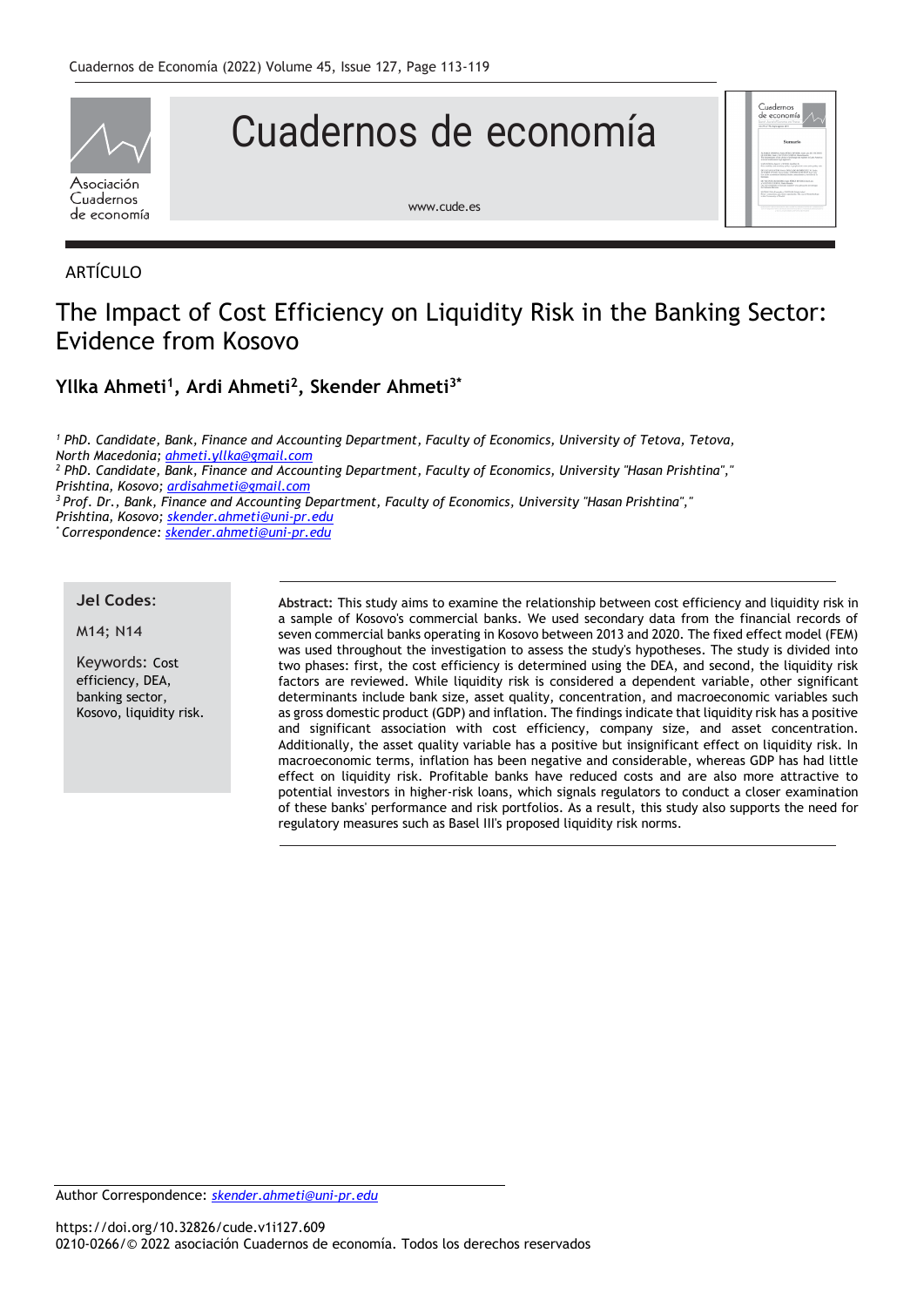

# Cuadernos de economía



[www.cude.es](http://www.cude.es/)

## ARTÍCULO

# The Impact of Cost Efficiency on Liquidity Risk in the Banking Sector: Evidence from Kosovo

### **Yllka Ahmeti<sup>1</sup> , Ardi Ahmeti<sup>2</sup> , Skender Ahmeti3\***

*<sup>1</sup> PhD. Candidate, Bank, Finance and Accounting Department, Faculty of Economics, University of Tetova, Tetova, North Macedonia[; ahmeti.yllka@gmail.com](mailto:ahmeti.yllka@gmail.com) <sup>2</sup> PhD. Candidate, Bank, Finance and Accounting Department, Faculty of Economics, University "Hasan Prishtina"," Prishtina, Kosovo; [ardisahmeti@gmail.com](mailto:ardisahmeti@gmail.com) <sup>3</sup> Prof. Dr., Bank, Finance and Accounting Department, Faculty of Economics, University "Hasan Prishtina"," Prishtina, Kosovo; [skender.ahmeti@uni-pr.edu](mailto:skender.ahmeti@uni-pr.edu) \* Correspondence[: skender.ahmeti@uni-pr.edu](mailto:skender.ahmeti@uni-pr.edu)*

#### **Jel Codes**:

M14; N14

Keywords: Cost efficiency, DEA, banking sector, Kosovo, liquidity risk. **Abstract:** This study aims to examine the relationship between cost efficiency and liquidity risk in a sample of Kosovo's commercial banks. We used secondary data from the financial records of seven commercial banks operating in Kosovo between 2013 and 2020. The fixed effect model (FEM) was used throughout the investigation to assess the study's hypotheses. The study is divided into two phases: first, the cost efficiency is determined using the DEA, and second, the liquidity risk factors are reviewed. While liquidity risk is considered a dependent variable, other significant determinants include bank size, asset quality, concentration, and macroeconomic variables such as gross domestic product (GDP) and inflation. The findings indicate that liquidity risk has a positive and significant association with cost efficiency, company size, and asset concentration. Additionally, the asset quality variable has a positive but insignificant effect on liquidity risk. In macroeconomic terms, inflation has been negative and considerable, whereas GDP has had little effect on liquidity risk. Profitable banks have reduced costs and are also more attractive to potential investors in higher-risk loans, which signals regulators to conduct a closer examination of these banks' performance and risk portfolios. As a result, this study also supports the need for regulatory measures such as Basel III's proposed liquidity risk norms.

Author Correspondence: *[skender.ahmeti@uni-pr.edu](mailto:skender.ahmeti@uni-pr.edu)*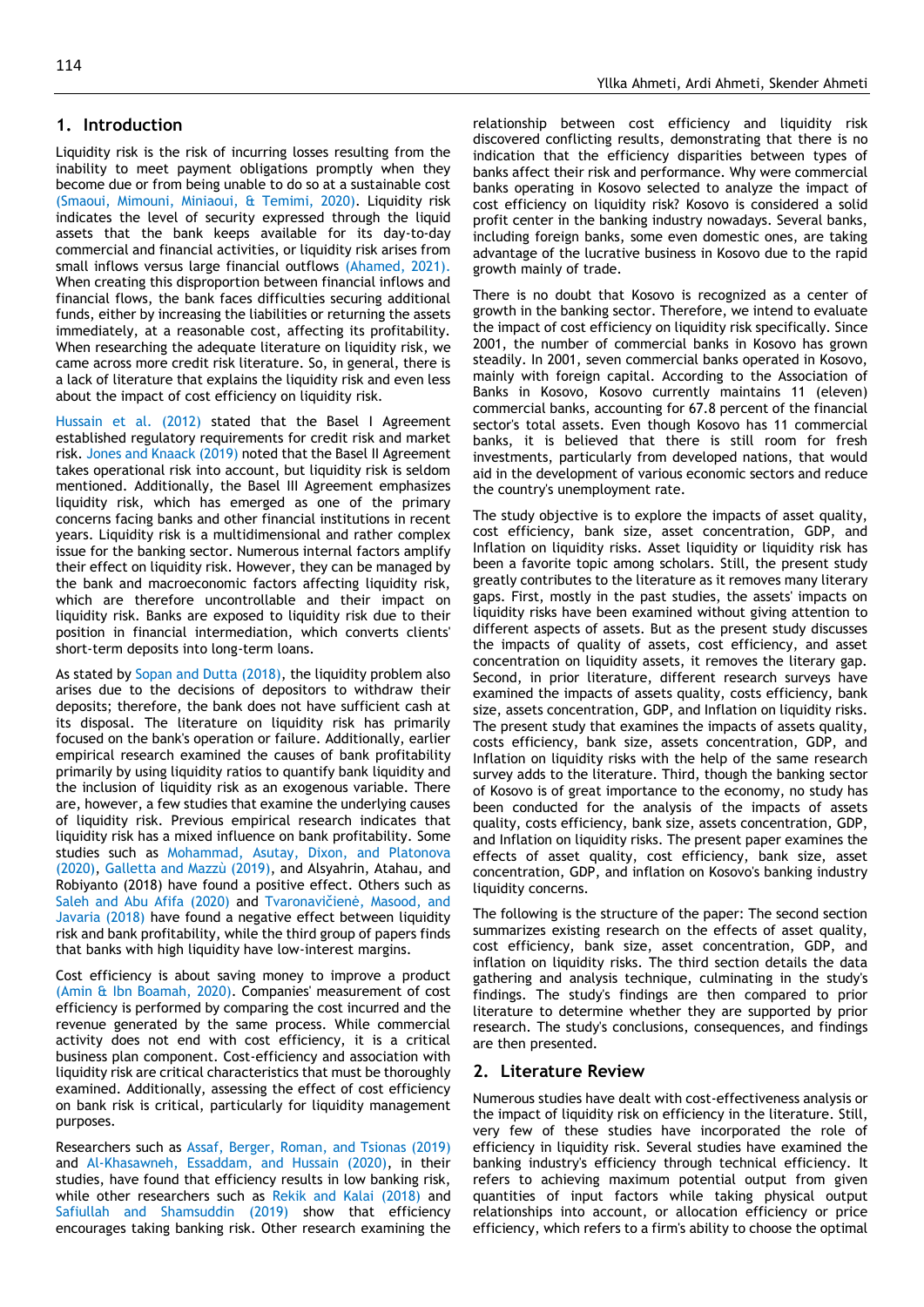#### **1. Introduction**

Liquidity risk is the risk of incurring losses resulting from the inability to meet payment obligations promptly when they become due or from being unable to do so at a sustainable cost [\(Smaoui, Mimouni, Miniaoui, & Temimi, 2020\)](#page-6-0). Liquidity risk indicates the level of security expressed through the liquid assets that the bank keeps available for its day-to-day commercial and financial activities, or liquidity risk arises from small inflows versus large financial outflows [\(Ahamed, 2021\)](#page-5-0). When creating this disproportion between financial inflows and financial flows, the bank faces difficulties securing additional funds, either by increasing the liabilities or returning the assets immediately, at a reasonable cost, affecting its profitability. When researching the adequate literature on liquidity risk, we came across more credit risk literature. So, in general, there is a lack of literature that explains the liquidity risk and even less about the impact of cost efficiency on liquidity risk.

Hussain et al. (2012) stated that the Basel I Agreement established regulatory requirements for credit risk and market risk. Jones and Knaack (2019) noted that the Basel II Agreement takes operational risk into account, but liquidity risk is seldom mentioned. Additionally, the Basel III Agreement emphasizes liquidity risk, which has emerged as one of the primary concerns facing banks and other financial institutions in recent years. Liquidity risk is a multidimensional and rather complex issue for the banking sector. Numerous internal factors amplify their effect on liquidity risk. However, they can be managed by the bank and macroeconomic factors affecting liquidity risk, which are therefore uncontrollable and their impact on liquidity risk. Banks are exposed to liquidity risk due to their position in financial intermediation, which converts clients' short-term deposits into long-term loans.

As stated by [Sopan and Dutta \(2018\),](#page-6-1) the liquidity problem also arises due to the decisions of depositors to withdraw their deposits; therefore, the bank does not have sufficient cash at its disposal. The literature on liquidity risk has primarily focused on the bank's operation or failure. Additionally, earlier empirical research examined the causes of bank profitability primarily by using liquidity ratios to quantify bank liquidity and the inclusion of liquidity risk as an exogenous variable. There are, however, a few studies that examine the underlying causes of liquidity risk. Previous empirical research indicates that liquidity risk has a mixed influence on bank profitability. Some studies such as [Mohammad, Asutay, Dixon, and Platonova](#page-6-2)  (2020), [Galletta and Mazzù \(2019\),](#page-6-3) and [Alsyahrin, Atahau, and](#page-6-4)  Robiyanto (2018) have found a positive effect. Others such as [Saleh and Abu Afifa \(2020\)](#page-6-5) and [Tvaronavičienė, Masood, and](#page-6-6)  Javaria (2018) have found a negative effect between liquidity risk and bank profitability, while the third group of papers finds that banks with high liquidity have low-interest margins.

Cost efficiency is about saving money to improve a product [\(Amin & Ibn Boamah, 2020\)](#page-6-7). Companies' measurement of cost efficiency is performed by comparing the cost incurred and the revenue generated by the same process. While commercial activity does not end with cost efficiency, it is a critical business plan component. Cost-efficiency and association with liquidity risk are critical characteristics that must be thoroughly examined. Additionally, assessing the effect of cost efficiency on bank risk is critical, particularly for liquidity management purposes.

Researchers such as [Assaf, Berger, Roman, and Tsionas \(2019\)](#page-6-8) and [Al-Khasawneh, Essaddam, and Hussain \(2020\),](#page-6-9) in their studies, have found that efficiency results in low banking risk, while other researchers such as [Rekik and Kalai \(2018\)](#page-6-10) and [Safiullah and Shamsuddin \(2019\)](#page-6-11) show that efficiency encourages taking banking risk. Other research examining the

relationship between cost efficiency and liquidity risk discovered conflicting results, demonstrating that there is no indication that the efficiency disparities between types of banks affect their risk and performance. Why were commercial banks operating in Kosovo selected to analyze the impact of cost efficiency on liquidity risk? Kosovo is considered a solid profit center in the banking industry nowadays. Several banks, including foreign banks, some even domestic ones, are taking advantage of the lucrative business in Kosovo due to the rapid growth mainly of trade.

There is no doubt that Kosovo is recognized as a center of growth in the banking sector. Therefore, we intend to evaluate the impact of cost efficiency on liquidity risk specifically. Since 2001, the number of commercial banks in Kosovo has grown steadily. In 2001, seven commercial banks operated in Kosovo, mainly with foreign capital. According to the Association of Banks in Kosovo, Kosovo currently maintains 11 (eleven) commercial banks, accounting for 67.8 percent of the financial sector's total assets. Even though Kosovo has 11 commercial banks, it is believed that there is still room for fresh investments, particularly from developed nations, that would aid in the development of various economic sectors and reduce the country's unemployment rate.

The study objective is to explore the impacts of asset quality, cost efficiency, bank size, asset concentration, GDP, and Inflation on liquidity risks. Asset liquidity or liquidity risk has been a favorite topic among scholars. Still, the present study greatly contributes to the literature as it removes many literary gaps. First, mostly in the past studies, the assets' impacts on liquidity risks have been examined without giving attention to different aspects of assets. But as the present study discusses the impacts of quality of assets, cost efficiency, and asset concentration on liquidity assets, it removes the literary gap. Second, in prior literature, different research surveys have examined the impacts of assets quality, costs efficiency, bank size, assets concentration, GDP, and Inflation on liquidity risks. The present study that examines the impacts of assets quality, costs efficiency, bank size, assets concentration, GDP, and Inflation on liquidity risks with the help of the same research survey adds to the literature. Third, though the banking sector of Kosovo is of great importance to the economy, no study has been conducted for the analysis of the impacts of assets quality, costs efficiency, bank size, assets concentration, GDP, and Inflation on liquidity risks. The present paper examines the effects of asset quality, cost efficiency, bank size, asset concentration, GDP, and inflation on Kosovo's banking industry liquidity concerns.

The following is the structure of the paper: The second section summarizes existing research on the effects of asset quality, cost efficiency, bank size, asset concentration, GDP, and inflation on liquidity risks. The third section details the data gathering and analysis technique, culminating in the study's findings. The study's findings are then compared to prior literature to determine whether they are supported by prior research. The study's conclusions, consequences, and findings are then presented.

#### **2. Literature Review**

Numerous studies have dealt with cost-effectiveness analysis or the impact of liquidity risk on efficiency in the literature. Still, very few of these studies have incorporated the role of efficiency in liquidity risk. Several studies have examined the banking industry's efficiency through technical efficiency. It refers to achieving maximum potential output from given quantities of input factors while taking physical output relationships into account, or allocation efficiency or price efficiency, which refers to a firm's ability to choose the optimal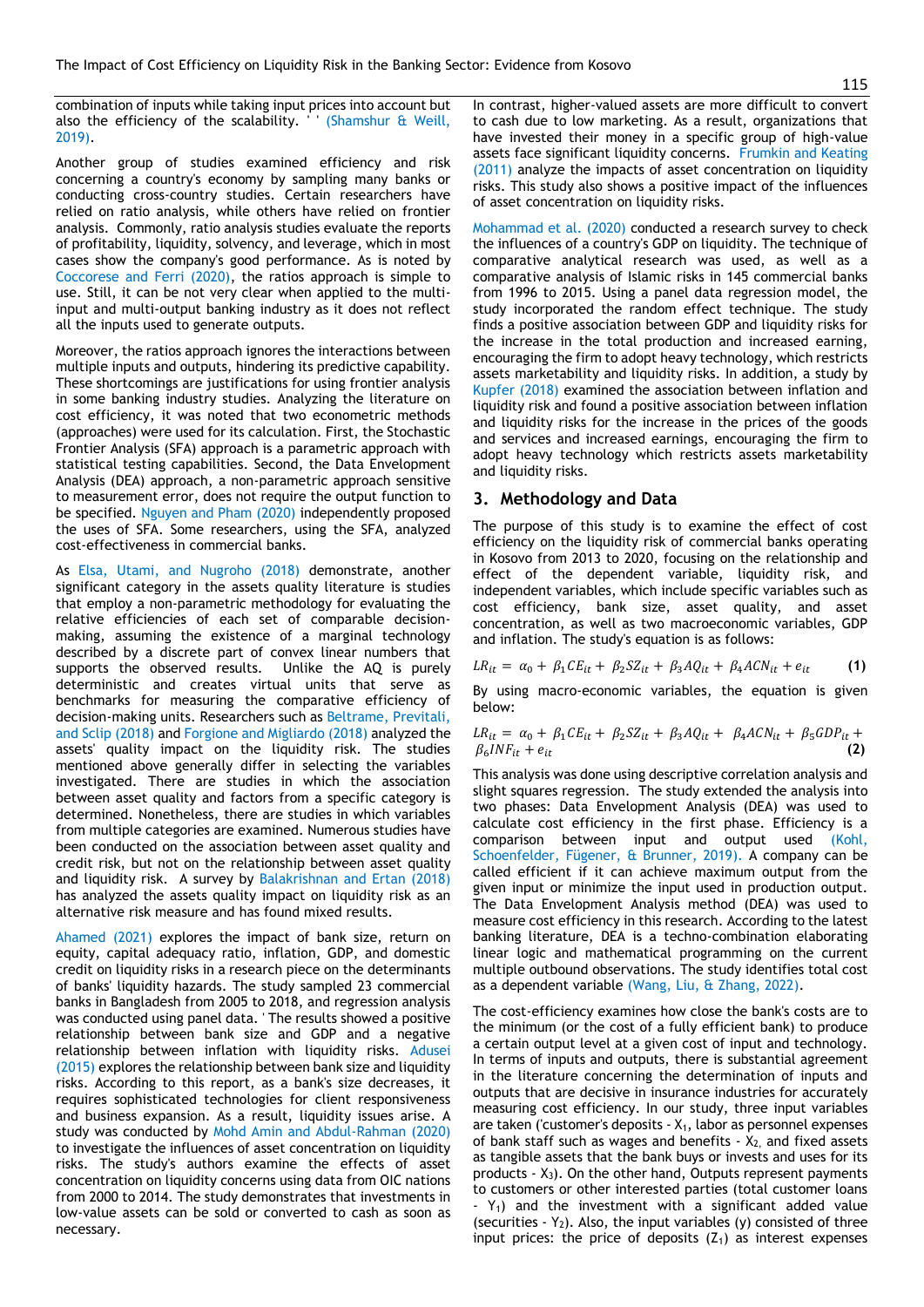combination of inputs while taking input prices into account but also the efficiency of the scalability. (Shamshur  $\&$  Weill, [2019\)](#page-6-12).

Another group of studies examined efficiency and risk concerning a country's economy by sampling many banks or conducting cross-country studies. Certain researchers have relied on ratio analysis, while others have relied on frontier analysis. Commonly, ratio analysis studies evaluate the reports of profitability, liquidity, solvency, and leverage, which in most cases show the company's good performance. As is noted by [Coccorese and Ferri \(2020\),](#page-6-13) the ratios approach is simple to use. Still, it can be not very clear when applied to the multiinput and multi-output banking industry as it does not reflect all the inputs used to generate outputs.

Moreover, the ratios approach ignores the interactions between multiple inputs and outputs, hindering its predictive capability. These shortcomings are justifications for using frontier analysis in some banking industry studies. Analyzing the literature on cost efficiency, it was noted that two econometric methods (approaches) were used for its calculation. First, the Stochastic Frontier Analysis (SFA) approach is a parametric approach with statistical testing capabilities. Second, the Data Envelopment Analysis (DEA) approach, a non-parametric approach sensitive to measurement error, does not require the output function to be specified. [Nguyen and Pham \(2020\)](#page-6-14) independently proposed the uses of SFA. Some researchers, using the SFA, analyzed cost-effectiveness in commercial banks.

As Elsa, Utami, and Nugroho (2018) demonstrate, another significant category in the assets quality literature is studies that employ a non-parametric methodology for evaluating the relative efficiencies of each set of comparable decisionmaking, assuming the existence of a marginal technology described by a discrete part of convex linear numbers that supports the observed results. Unlike the AQ is purely deterministic and creates virtual units that serve as benchmarks for measuring the comparative efficiency of decision-making units. Researchers such a[s Beltrame, Previtali,](#page-6-15)  and Sclip (2018) an[d Forgione and Migliardo \(2018\)](#page-6-16) analyzed the assets' quality impact on the liquidity risk. The studies mentioned above generally differ in selecting the variables investigated. There are studies in which the association between asset quality and factors from a specific category is determined. Nonetheless, there are studies in which variables from multiple categories are examined. Numerous studies have been conducted on the association between asset quality and credit risk, but not on the relationship between asset quality and liquidity risk. A survey by [Balakrishnan and Ertan \(2018\)](#page-6-17) has analyzed the assets quality impact on liquidity risk as an alternative risk measure and has found mixed results.

Ahamed (2021) explores the impact of bank size, return on equity, capital adequacy ratio, inflation, GDP, and domestic credit on liquidity risks in a research piece on the determinants of banks' liquidity hazards. The study sampled 23 commercial banks in Bangladesh from 2005 to 2018, and regression analysis was conducted using panel data. ' The results showed a positive relationship between bank size and GDP and a negative relationship between inflation with liquidity risks. [Adusei](#page-5-1)  (2015) explores the relationship between bank size and liquidity risks. According to this report, as a bank's size decreases, it requires sophisticated technologies for client responsiveness and business expansion. As a result, liquidity issues arise. A study was conducted by [Mohd Amin and Abdul-Rahman \(2020\)](#page-6-18) to investigate the influences of asset concentration on liquidity risks. The study's authors examine the effects of asset concentration on liquidity concerns using data from OIC nations from 2000 to 2014. The study demonstrates that investments in low-value assets can be sold or converted to cash as soon as necessary.

In contrast, higher-valued assets are more difficult to convert to cash due to low marketing. As a result, organizations that have invested their money in a specific group of high-value assets face significant liquidity concerns. [Frumkin and Keating](#page-6-19)  (2011) analyze the impacts of asset concentration on liquidity risks. This study also shows a positive impact of the influences of asset concentration on liquidity risks.

[Mohammad et al. \(2020\)](#page-6-2) conducted a research survey to check the influences of a country's GDP on liquidity. The technique of comparative analytical research was used, as well as a comparative analysis of Islamic risks in 145 commercial banks from 1996 to 2015. Using a panel data regression model, the study incorporated the random effect technique. The study finds a positive association between GDP and liquidity risks for the increase in the total production and increased earning, encouraging the firm to adopt heavy technology, which restricts assets marketability and liquidity risks. In addition, a study by [Kupfer \(2018\)](#page-6-20) examined the association between inflation and liquidity risk and found a positive association between inflation and liquidity risks for the increase in the prices of the goods and services and increased earnings, encouraging the firm to adopt heavy technology which restricts assets marketability and liquidity risks.

#### **3. Methodology and Data**

The purpose of this study is to examine the effect of cost efficiency on the liquidity risk of commercial banks operating in Kosovo from 2013 to 2020, focusing on the relationship and effect of the dependent variable, liquidity risk, and independent variables, which include specific variables such as cost efficiency, bank size, asset quality, and asset concentration, as well as two macroeconomic variables, GDP and inflation. The study's equation is as follows:

$$
LR_{it} = \alpha_0 + \beta_1 CE_{it} + \beta_2 SZ_{it} + \beta_3 A Q_{it} + \beta_4 AC N_{it} + e_{it}
$$
 (1)

By using macro-economic variables, the equation is given below:

$$
LR_{it} = \alpha_0 + \beta_1 CE_{it} + \beta_2 SZ_{it} + \beta_3 AQ_{it} + \beta_4 ACN_{it} + \beta_5 GDP_{it} + \n\beta_6 INF_{it} + e_{it}
$$
\n(2)

This analysis was done using descriptive correlation analysis and slight squares regression. The study extended the analysis into two phases: Data Envelopment Analysis (DEA) was used to calculate cost efficiency in the first phase. Efficiency is a comparison between input and output used [\(Kohl,](#page-6-21)  [Schoenfelder, Fügener, & Brunner, 2019\)](#page-6-21). A company can be called efficient if it can achieve maximum output from the given input or minimize the input used in production output. The Data Envelopment Analysis method (DEA) was used to measure cost efficiency in this research. According to the latest banking literature, DEA is a techno-combination elaborating linear logic and mathematical programming on the current multiple outbound observations. The study identifies total cost as a dependent variable [\(Wang, Liu, & Zhang, 2022\)](#page-6-22).

The cost-efficiency examines how close the bank's costs are to the minimum (or the cost of a fully efficient bank) to produce a certain output level at a given cost of input and technology. In terms of inputs and outputs, there is substantial agreement in the literature concerning the determination of inputs and outputs that are decisive in insurance industries for accurately measuring cost efficiency. In our study, three input variables are taken ('customer's deposits -  $X_1$ , labor as personnel expenses of bank staff such as wages and benefits  $- X_2$ , and fixed assets as tangible assets that the bank buys or invests and uses for its products  $- X_3$ ). On the other hand, Outputs represent payments to customers or other interested parties (total customer loans  $-Y_1$ ) and the investment with a significant added value (securities  $-Y_2$ ). Also, the input variables (y) consisted of three input prices: the price of deposits  $(Z_1)$  as interest expenses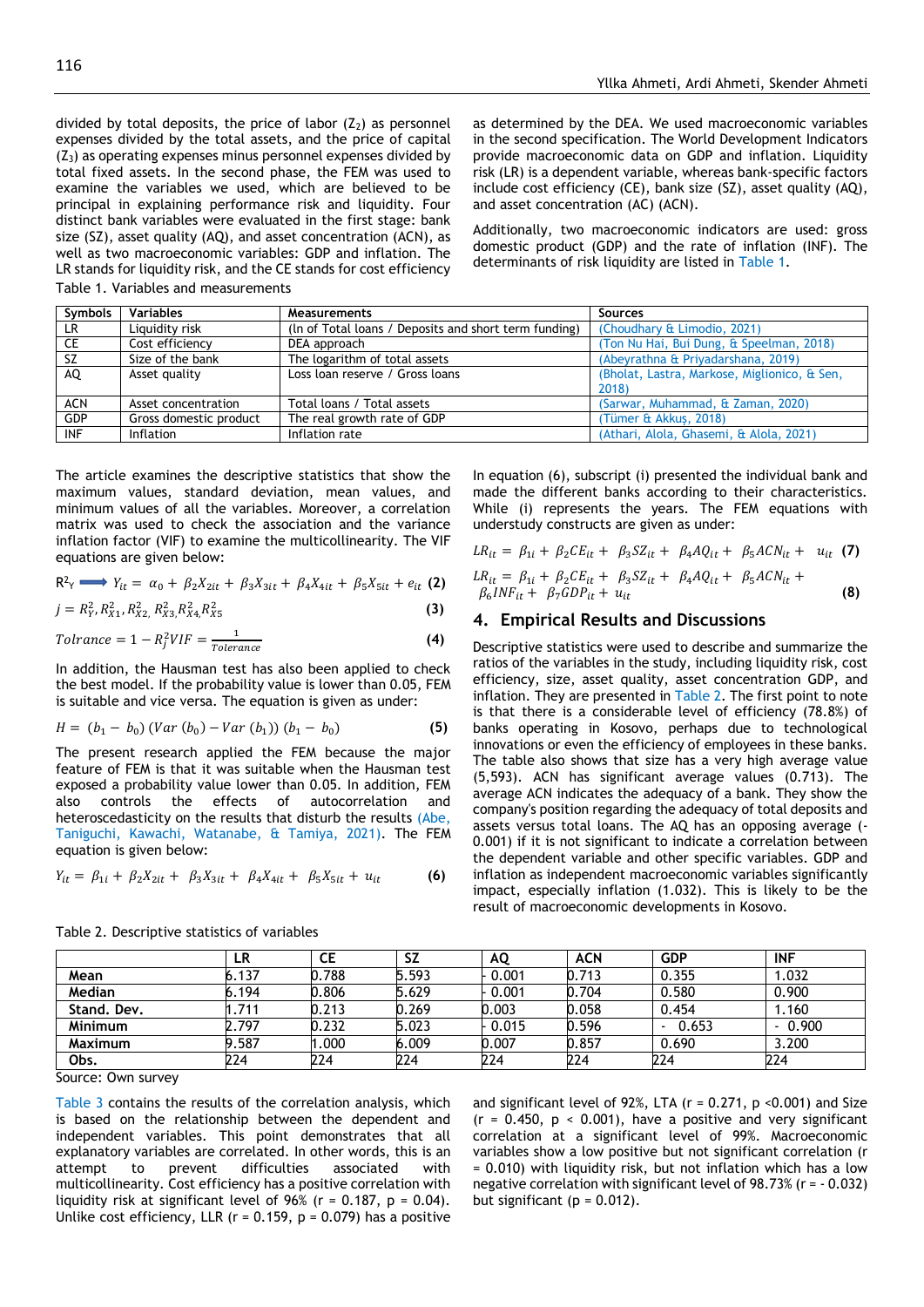divided by total deposits, the price of labor  $(Z_2)$  as personnel expenses divided by the total assets, and the price of capital  $(Z_3)$  as operating expenses minus personnel expenses divided by total fixed assets. In the second phase, the FEM was used to examine the variables we used, which are believed to be principal in explaining performance risk and liquidity. Four distinct bank variables were evaluated in the first stage: bank size (SZ), asset quality (AQ), and asset concentration (ACN), as well as two macroeconomic variables: GDP and inflation. The LR stands for liquidity risk, and the CE stands for cost efficiency Table 1. Variables and measurements

as determined by the DEA. We used macroeconomic variables in the second specification. The World Development Indicators provide macroeconomic data on GDP and inflation. Liquidity risk (LR) is a dependent variable, whereas bank-specific factors include cost efficiency (CE), bank size (SZ), asset quality (AQ), and asset concentration (AC) (ACN).

Additionally, two macroeconomic indicators are used: gross domestic product (GDP) and the rate of inflation (INF). The determinants of risk liquidity are listed in Table 1.

In equation (6), subscript (i) presented the individual bank and made the different banks according to their characteristics. While (i) represents the years. The FEM equations with

 $LR_{it} = \beta_{1i} + \beta_2 CE_{it} + \beta_3 SZ_{it} + \beta_4 A Q_{it} + \beta_5 AC N_{it} + u_{it}$  (7)

 $\beta_6 INF_{it} + \beta_7 GDP_{it} + u_{it}$  (8)

Descriptive statistics were used to describe and summarize the ratios of the variables in the study, including liquidity risk, cost efficiency, size, asset quality, asset concentration GDP, and inflation. They are presented in Table 2. The first point to note is that there is a considerable level of efficiency (78.8%) of banks operating in Kosovo, perhaps due to technological innovations or even the efficiency of employees in these banks. The table also shows that size has a very high average value (5,593). ACN has significant average values (0.713). The average ACN indicates the adequacy of a bank. They show the company's position regarding the adequacy of total deposits and assets versus total loans. The AQ has an opposing average (- 0.001) if it is not significant to indicate a correlation between the dependent variable and other specific variables. GDP and inflation as independent macroeconomic variables significantly impact, especially inflation (1.032). This is likely to be the

 $LR_{it} = \beta_{1i} + \beta_2 CE_{it} + \beta_3 SZ_{it} + \beta_4 A Q_{it} + \beta_5 AC N_{it} +$ 

**4. Empirical Results and Discussions**

result of macroeconomic developments in Kosovo.

understudy constructs are given as under:

| <b>Symbols</b> | <b>Variables</b>       | <b>Measurements</b>                                   | <b>Sources</b>                               |
|----------------|------------------------|-------------------------------------------------------|----------------------------------------------|
| LR.            | Liquidity risk         | (In of Total loans / Deposits and short term funding) | (Choudhary & Limodio, 2021)                  |
| CE             | Cost efficiency        | DEA approach                                          | (Ton Nu Hai, Bui Dung, & Speelman, 2018)     |
| SZ.            | Size of the bank       | The logarithm of total assets                         | (Abeyrathna & Priyadarshana, 2019)           |
| AQ             | Asset quality          | Loss loan reserve / Gross loans                       | (Bholat, Lastra, Markose, Miglionico, & Sen, |
|                |                        |                                                       | 2018)                                        |
| <b>ACN</b>     | Asset concentration    | Total loans / Total assets                            | (Sarwar, Muhammad, & Zaman, 2020)            |
| <b>GDP</b>     | Gross domestic product | The real growth rate of GDP                           | (Tümer & Akkuş, 2018)                        |
| <b>INF</b>     | Inflation              | Inflation rate                                        | (Athari, Alola, Ghasemi, & Alola, 2021)      |

The article examines the descriptive statistics that show the maximum values, standard deviation, mean values, and minimum values of all the variables. Moreover, a correlation matrix was used to check the association and the variance inflation factor (VIF) to examine the multicollinearity. The VIF equations are given below:

$$
\mathsf{R}^2 \mathsf{Y} \longrightarrow Y_{it} = \alpha_0 + \beta_2 X_{2it} + \beta_3 X_{3it} + \beta_4 X_{4it} + \beta_5 X_{5it} + e_{it} \text{ (2)}
$$

$$
j = R_Y^2, R_{X1}^2, R_{X2}^2, R_{X3}^2, R_{X4}^2, R_{X5}^2
$$
 (3)

$$
Tolrance = 1 - R_j^2 VIF = \frac{1}{Tolerance}
$$
 (4)

In addition, the Hausman test has also been applied to check the best model. If the probability value is lower than 0.05, FEM is suitable and vice versa. The equation is given as under:

$$
H = (b_1 - b_0) (Var (b_0) - Var (b_1)) (b_1 - b_0)
$$
\n(5)

The present research applied the FEM because the major feature of FEM is that it was suitable when the Hausman test exposed a probability value lower than 0.05. In addition, FEM also controls the effects of autocorrelation and heteroscedasticity on the results that disturb the results (Abe, [Taniguchi, Kawachi, Watanabe, & Tamiya, 2021\)](#page-5-2). The FEM equation is given below:

$$
Y_{it} = \beta_{1i} + \beta_2 X_{2it} + \beta_3 X_{3it} + \beta_4 X_{4it} + \beta_5 X_{5it} + u_{it}
$$
 (6)

**LR CE SZ AQ ACN GDP INF Mean** 6.137 0.788 5.593 - 0.001 0.713 0.355 1.032 **Median** 6.194 0.806 5.629 - 0.001 0.704 0.580 0.900 **Stand. Dev.** 1.711 0.213 0.269 0.003 0.058 0.454 1.160 **Minimum** 2.797 0.232 5.023 - 0.015 0.596 - 0.653 - 0.900 **Maximum** 9.587 1.000 6.009 0.007 0.857 0.690 3.200 **Obs.** 224 224 224 224 224 224 224

Table 2. Descriptive statistics of variables

Source: Own survey

Table 3 contains the results of the correlation analysis, which is based on the relationship between the dependent and independent variables. This point demonstrates that all explanatory variables are correlated. In other words, this is an attempt to prevent difficulties associated with attempt to prevent difficulties associated with multicollinearity. Cost efficiency has a positive correlation with liquidity risk at significant level of 96% ( $r = 0.187$ ,  $p = 0.04$ ). Unlike cost efficiency, LLR ( $r = 0.159$ ,  $p = 0.079$ ) has a positive and significant level of 92%, LTA ( $r = 0.271$ ,  $p < 0.001$ ) and Size  $(r = 0.450, p < 0.001)$ , have a positive and very significant correlation at a significant level of 99%. Macroeconomic variables show a low positive but not significant correlation (r = 0.010) with liquidity risk, but not inflation which has a low negative correlation with significant level of 98.73% (r = - 0.032) but significant ( $p = 0.012$ ).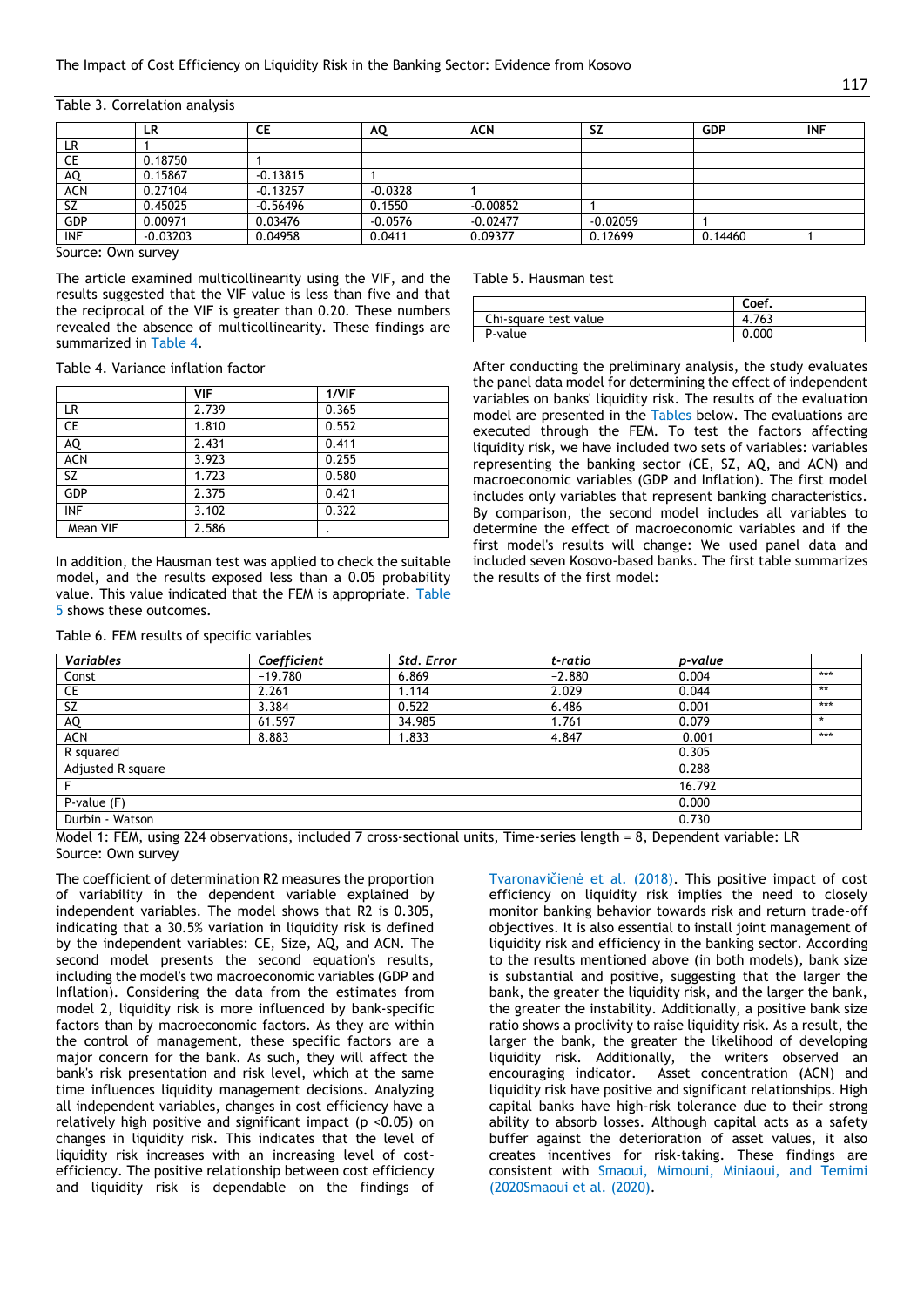|            | LR         | СE         | AQ        | <b>ACN</b> | SΖ         | <b>GDP</b> | <b>INF</b> |
|------------|------------|------------|-----------|------------|------------|------------|------------|
| LR         |            |            |           |            |            |            |            |
| СE         | 0.18750    |            |           |            |            |            |            |
| AQ         | 0.15867    | $-0.13815$ |           |            |            |            |            |
| ACN        | 0.27104    | $-0.13257$ | $-0.0328$ |            |            |            |            |
| <b>SZ</b>  | 0.45025    | $-0.56496$ | 0.1550    | $-0.00852$ |            |            |            |
| GDP        | 0.00971    | 0.03476    | $-0.0576$ | $-0.02477$ | $-0.02059$ |            |            |
| <b>INF</b> | $-0.03203$ | 0.04958    | 0.0411    | 0.09377    | 0.12699    | 0.14460    |            |
| $\sim$     |            |            |           |            |            |            |            |

Table 3. Correlation analysis

Source: Own survey

The article examined multicollinearity using the VIF, and the results suggested that the VIF value is less than five and that the reciprocal of the VIF is greater than 0.20. These numbers revealed the absence of multicollinearity. These findings are summarized in Table 4.

Table 4. Variance inflation factor

|            | <b>VIF</b> | 1/VIF |
|------------|------------|-------|
| LR.        | 2.739      | 0.365 |
| CE         | 1.810      | 0.552 |
| AQ         | 2.431      | 0.411 |
| <b>ACN</b> | 3.923      | 0.255 |
| <b>SZ</b>  | 1.723      | 0.580 |
| GDP        | 2.375      | 0.421 |
| <b>INF</b> | 3.102      | 0.322 |
| Mean VIF   | 2.586      |       |

In addition, the Hausman test was applied to check the suitable model, and the results exposed less than a 0.05 probability value. This value indicated that the FEM is appropriate. Table 5 shows these outcomes.

| Table 6. FEM results of specific variables |  |  |  |  |  |  |
|--------------------------------------------|--|--|--|--|--|--|
|--------------------------------------------|--|--|--|--|--|--|

Table 5. Hausman test

|                       | Coef. |
|-----------------------|-------|
| Chi-square test value | 4.763 |
| P-value               | 0.000 |

After conducting the preliminary analysis, the study evaluates the panel data model for determining the effect of independent variables on banks' liquidity risk. The results of the evaluation model are presented in the Tables below. The evaluations are executed through the FEM. To test the factors affecting liquidity risk, we have included two sets of variables: variables representing the banking sector (CE, SZ, AQ, and ACN) and macroeconomic variables (GDP and Inflation). The first model includes only variables that represent banking characteristics. By comparison, the second model includes all variables to determine the effect of macroeconomic variables and if the first model's results will change: We used panel data and included seven Kosovo-based banks. The first table summarizes the results of the first model:

| <b>Variables</b>     | Coefficient | Std. Error | t-ratio  | p-value |       |
|----------------------|-------------|------------|----------|---------|-------|
| Const                | $-19.780$   | 6.869      | $-2.880$ | 0.004   | ***   |
| CE                   | 2.261       | 1.114      | 2.029    | 0.044   | $***$ |
| <b>SZ</b>            | 3.384       | 0.522      | 6.486    | 0.001   | ***   |
| AQ                   | 61.597      | 34.985     | 1.761    | 0.079   |       |
| <b>ACN</b>           | 8.883       | 1.833      | 4.847    | 0.001   | ***   |
| R squared            |             |            |          | 0.305   |       |
| Adjusted R square    |             |            |          | 0.288   |       |
|                      |             |            |          | 16.792  |       |
| $P-value(F)$         |             |            |          | 0.000   |       |
| Durbin - Watson<br>. | .           |            |          | 0.730   |       |

Model 1: FEM, using 224 observations, included 7 cross-sectional units, Time-series length = 8, Dependent variable: LR Source: Own survey

The coefficient of determination R2 measures the proportion of variability in the dependent variable explained by independent variables. The model shows that R2 is 0.305, indicating that a 30.5% variation in liquidity risk is defined by the independent variables: CE, Size, AQ, and ACN. The second model presents the second equation's results, including the model's two macroeconomic variables (GDP and Inflation). Considering the data from the estimates from model 2, liquidity risk is more influenced by bank-specific factors than by macroeconomic factors. As they are within the control of management, these specific factors are a major concern for the bank. As such, they will affect the bank's risk presentation and risk level, which at the same time influences liquidity management decisions. Analyzing all independent variables, changes in cost efficiency have a relatively high positive and significant impact (p <0.05) on changes in liquidity risk. This indicates that the level of liquidity risk increases with an increasing level of costefficiency. The positive relationship between cost efficiency and liquidity risk is dependable on the findings of

Tvaronavičienė et al. (2018). This positive impact of cost efficiency on liquidity risk implies the need to closely monitor banking behavior towards risk and return trade-off objectives. It is also essential to install joint management of liquidity risk and efficiency in the banking sector. According to the results mentioned above (in both models), bank size is substantial and positive, suggesting that the larger the bank, the greater the liquidity risk, and the larger the bank, the greater the instability. Additionally, a positive bank size ratio shows a proclivity to raise liquidity risk. As a result, the larger the bank, the greater the likelihood of developing liquidity risk. Additionally, the writers observed an encouraging indicator. Asset concentration (ACN) and liquidity risk have positive and significant relationships. High capital banks have high-risk tolerance due to their strong ability to absorb losses. Although capital acts as a safety buffer against the deterioration of asset values, it also creates incentives for risk-taking. These findings are consistent with Smaoui, Mimouni, Miniaoui, and Temimi (2020Smaoui et al. (2020).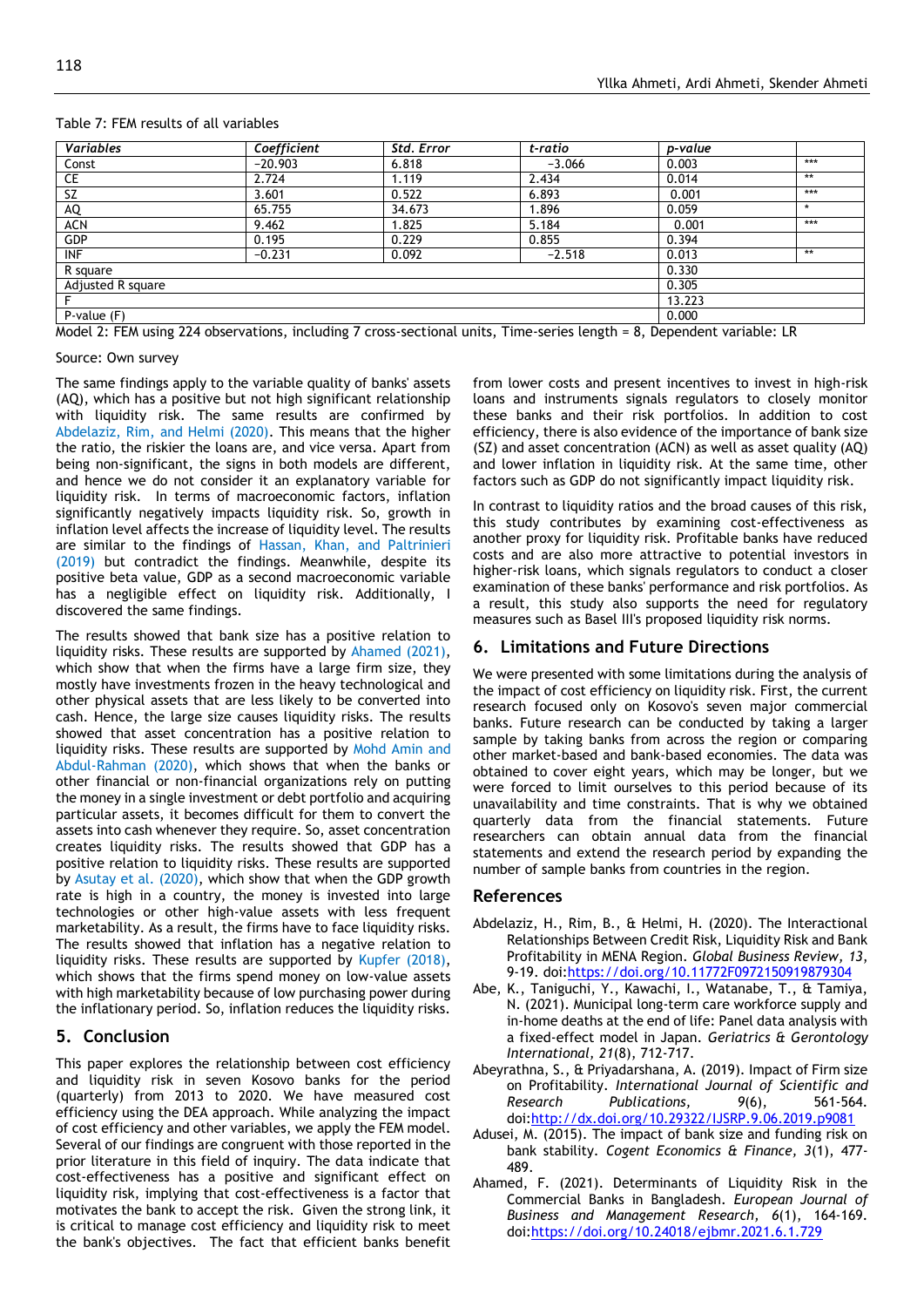| <b>Variables</b>                                                                                                       | Coefficient | Std. Error | t-ratio  | p-value |         |
|------------------------------------------------------------------------------------------------------------------------|-------------|------------|----------|---------|---------|
| Const                                                                                                                  | $-20.903$   | 6.818      | $-3.066$ | 0.003   | ***     |
| CE                                                                                                                     | 2.724       | 1.119      | 2.434    | 0.014   | **      |
| SZ                                                                                                                     | 3.601       | 0.522      | 6.893    | 0.001   | ***     |
| AQ                                                                                                                     | 65.755      | 34.673     | 1.896    | 0.059   | $\star$ |
| ACN                                                                                                                    | 9.462       | 1.825      | 5.184    | 0.001   | ***     |
| GDP                                                                                                                    | 0.195       | 0.229      | 0.855    | 0.394   |         |
| <b>INF</b>                                                                                                             | $-0.231$    | 0.092      | $-2.518$ | 0.013   | **      |
| R square                                                                                                               |             |            |          | 0.330   |         |
| Adjusted R square                                                                                                      |             |            |          | 0.305   |         |
| F                                                                                                                      |             |            |          | 13.223  |         |
| $P-value(F)$                                                                                                           |             |            |          | 0.000   |         |
| the del De FFH color 224 elementing the luding 7 agents continual culto Time controlleration of Demondent control of D |             |            |          |         |         |

#### Table 7: FEM results of all variables

Model 2: FEM using 224 observations, including 7 cross-sectional units, Time-series length = 8, Dependent variable: LR

#### Source: Own survey

The same findings apply to the variable quality of banks' assets (AQ), which has a positive but not high significant relationship with liquidity risk. The same results are confirmed by Abdelaziz, Rim, and Helmi (2020). This means that the higher the ratio, the riskier the loans are, and vice versa. Apart from being non-significant, the signs in both models are different, and hence we do not consider it an explanatory variable for liquidity risk. In terms of macroeconomic factors, inflation significantly negatively impacts liquidity risk. So, growth in inflation level affects the increase of liquidity level. The results are similar to the findings of Hassan, Khan, and Paltrinieri (2019) but contradict the findings. Meanwhile, despite its positive beta value, GDP as a second macroeconomic variable has a negligible effect on liquidity risk. Additionally, I discovered the same findings.

The results showed that bank size has a positive relation to liquidity risks. These results are supported by Ahamed (2021), which show that when the firms have a large firm size, they mostly have investments frozen in the heavy technological and other physical assets that are less likely to be converted into cash. Hence, the large size causes liquidity risks. The results showed that asset concentration has a positive relation to liquidity risks. These results are supported by Mohd Amin and Abdul-Rahman (2020), which shows that when the banks or other financial or non-financial organizations rely on putting the money in a single investment or debt portfolio and acquiring particular assets, it becomes difficult for them to convert the assets into cash whenever they require. So, asset concentration creates liquidity risks. The results showed that GDP has a positive relation to liquidity risks. These results are supported by Asutay et al. (2020), which show that when the GDP growth rate is high in a country, the money is invested into large technologies or other high-value assets with less frequent marketability. As a result, the firms have to face liquidity risks. The results showed that inflation has a negative relation to liquidity risks. These results are supported by Kupfer (2018), which shows that the firms spend money on low-value assets with high marketability because of low purchasing power during the inflationary period. So, inflation reduces the liquidity risks.

#### **5. Conclusion**

This paper explores the relationship between cost efficiency and liquidity risk in seven Kosovo banks for the period (quarterly) from 2013 to 2020. We have measured cost efficiency using the DEA approach. While analyzing the impact of cost efficiency and other variables, we apply the FEM model. Several of our findings are congruent with those reported in the prior literature in this field of inquiry. The data indicate that cost-effectiveness has a positive and significant effect on liquidity risk, implying that cost-effectiveness is a factor that motivates the bank to accept the risk. Given the strong link, it is critical to manage cost efficiency and liquidity risk to meet the bank's objectives. The fact that efficient banks benefit

from lower costs and present incentives to invest in high-risk loans and instruments signals regulators to closely monitor these banks and their risk portfolios. In addition to cost efficiency, there is also evidence of the importance of bank size (SZ) and asset concentration (ACN) as well as asset quality (AQ) and lower inflation in liquidity risk. At the same time, other factors such as GDP do not significantly impact liquidity risk.

In contrast to liquidity ratios and the broad causes of this risk, this study contributes by examining cost-effectiveness as another proxy for liquidity risk. Profitable banks have reduced costs and are also more attractive to potential investors in higher-risk loans, which signals regulators to conduct a closer examination of these banks' performance and risk portfolios. As a result, this study also supports the need for regulatory measures such as Basel III's proposed liquidity risk norms.

#### **6. Limitations and Future Directions**

We were presented with some limitations during the analysis of the impact of cost efficiency on liquidity risk. First, the current research focused only on Kosovo's seven major commercial banks. Future research can be conducted by taking a larger sample by taking banks from across the region or comparing other market-based and bank-based economies. The data was obtained to cover eight years, which may be longer, but we were forced to limit ourselves to this period because of its unavailability and time constraints. That is why we obtained quarterly data from the financial statements. Future researchers can obtain annual data from the financial statements and extend the research period by expanding the number of sample banks from countries in the region.

#### **References**

- Abdelaziz, H., Rim, B., & Helmi, H. (2020). The Interactional Relationships Between Credit Risk, Liquidity Risk and Bank Profitability in MENA Region. *Global Business Review, 13*, 9-19. doi:https://doi.org/10.11772F0972150919879304
- <span id="page-5-2"></span>Abe, K., Taniguchi, Y., Kawachi, I., Watanabe, T., & Tamiya, N. (2021). Municipal long‐term care workforce supply and in‐home deaths at the end of life: Panel data analysis with a fixed‐effect model in Japan. *Geriatrics & Gerontology International, 21*(8), 712-717.
- <span id="page-5-3"></span>Abeyrathna, S., & Priyadarshana, A. (2019). Impact of Firm size on Profitability. *International Journal of Scientific and Research Publications, 9*(6), 561-564. doi:http://dx.doi.org/10.29322/IJSRP.9.06.2019.p9081
- <span id="page-5-1"></span>Adusei, M. (2015). The impact of bank size and funding risk on bank stability. *Cogent Economics & Finance, 3*(1), 477- 489.
- <span id="page-5-0"></span>Ahamed, F. (2021). Determinants of Liquidity Risk in the Commercial Banks in Bangladesh. *European Journal of Business and Management Research, 6*(1), 164-169. doi:https://doi.org/10.24018/ejbmr.2021.6.1.729